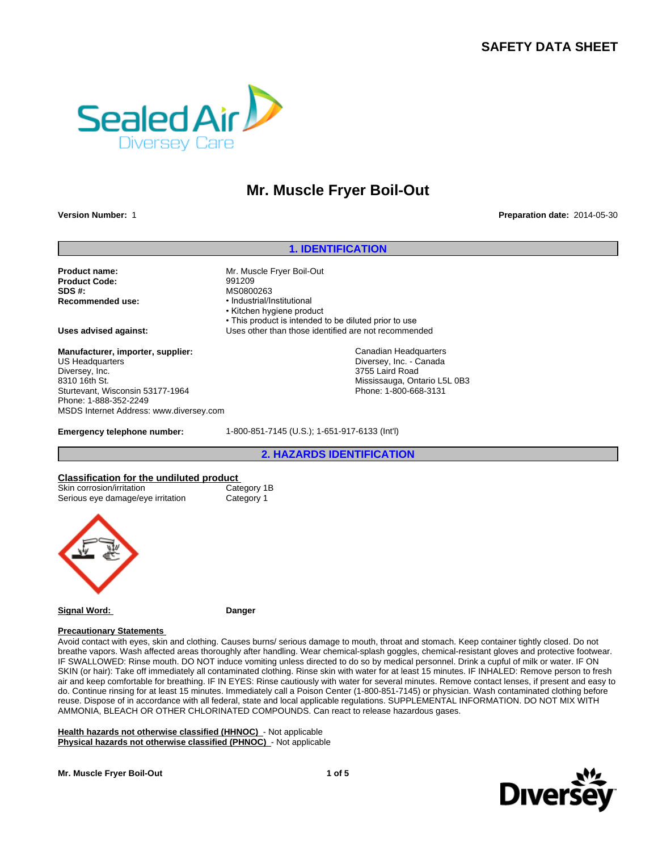# **SAFETY DATA SHEET**



# **Mr. Muscle Fryer Boil-Out**

**Version Number:** 1 **Preparation date:** 2014-05-30

## **1. IDENTIFICATION**

Canadian Headquarters Diversey, Inc. - Canada 3755 Laird Road

Mississauga, Ontario L5L 0B3 Phone: 1-800-668-3131

**Product name:** Mr. Muscle Fryer Boil-Out **Product Code:** 991209 **SDS #:** MS0800263<br> **Recommended use:** Mecommended use: 11

**Recommended use:** •Industrial/Institutional • Kitchen hygiene product • This product is intended to be diluted prior to use

**Uses advised against:** Uses other than those identified are not recommended

**Manufacturer, importer, supplier:** US Headquarters Diversey, Inc. 8310 16th St. Sturtevant, Wisconsin 53177-1964 Phone: 1-888-352-2249 MSDS Internet Address: www.diversey.com

**Emergency telephone number:** 1-800-851-7145 (U.S.); 1-651-917-6133 (Int'l)

**2. HAZARDS IDENTIFICATION**

### **Classification for the undiluted product**

| Skin corrosion/irritation         |  |
|-----------------------------------|--|
| Serious eye damage/eye irritation |  |
|                                   |  |

Category 1B Category 1



**Signal Word: Danger**

### **Precautionary Statements**

Avoid contact with eyes, skin and clothing. Causes burns/ serious damage to mouth, throat and stomach. Keep container tightly closed. Do not breathe vapors. Wash affected areas thoroughly after handling. Wear chemical-splash goggles, chemical-resistant gloves and protective footwear. IF SWALLOWED: Rinse mouth. DO NOT induce vomiting unless directed to do so by medical personnel. Drink a cupful of milk or water. IF ON SKIN (or hair): Take off immediately all contaminated clothing. Rinse skin with water for at least 15 minutes. IF INHALED: Remove person to fresh air and keep comfortable for breathing. IF IN EYES: Rinse cautiously with water for several minutes. Remove contact lenses, if present and easy to do. Continue rinsing for at least 15 minutes. Immediately call a Poison Center (1-800-851-7145) or physician. Wash contaminated clothing before reuse. Dispose of in accordance with all federal, state and local applicable regulations. SUPPLEMENTAL INFORMATION. DO NOT MIX WITH AMMONIA, BLEACH OR OTHER CHLORINATED COMPOUNDS. Can react to release hazardous gases.

**Health hazards not otherwise classified (HHNOC)** - Not applicable **Physical hazards not otherwise classified (PHNOC)** - Not applicable



**Mr. Muscle Fryer Boil-Out**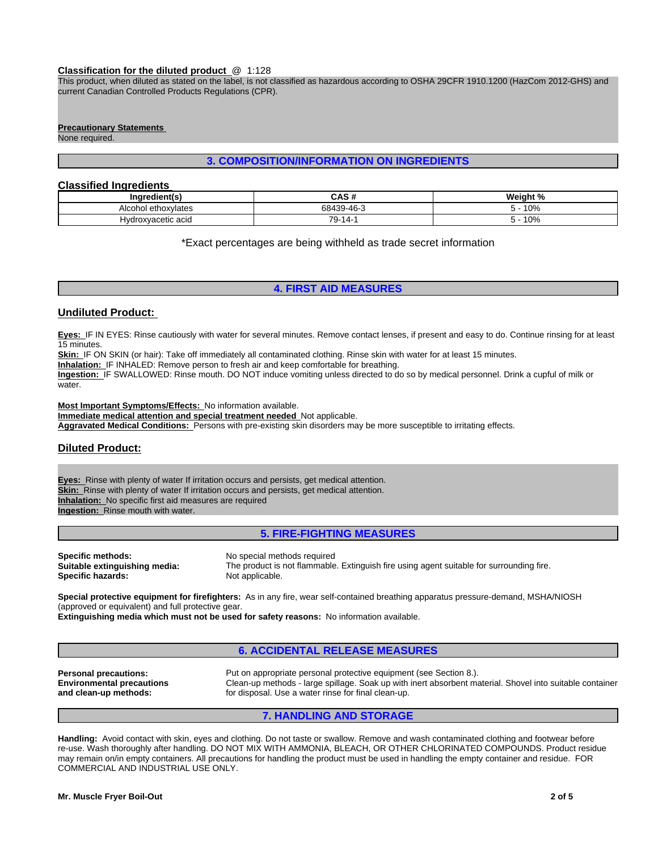### **Classification for the diluted product** @ 1:128

This product, when diluted as stated on the label, is not classified as hazardous according to OSHA 29CFR 1910.1200 (HazCom 2012-GHS) and current Canadian Controlled Products Regulations (CPR).

### **Precautionary Statements**

None required.

# **3. COMPOSITION/INFORMATION ON INGREDIENTS**

# **Classified Ingredients**

| redient(s<br>ina <sup>.</sup> | CACH<br>unj.                                               | 'Noigh<br>$\cdot$ $\cdot$<br>elani<br>- |
|-------------------------------|------------------------------------------------------------|-----------------------------------------|
| ∟ethoxvlates<br>Alcoho        | $30.46$ <sup>-<math>\degree</math></sup><br>0.0120<br>- אי | 10%                                     |
| acetic acid<br>o droving      | $\rightarrow$<br>$\overline{\phantom{a}}$<br>. د           | 10%                                     |

\*Exact percentages are being withheld as trade secret information

## **4. FIRST AID MEASURES**

# **Undiluted Product:**

**Eyes:** IF IN EYES: Rinse cautiously with water for several minutes. Remove contact lenses, if present and easy to do. Continue rinsing for at least 15 minutes.

**Skin:** IF ON SKIN (or hair): Take off immediately all contaminated clothing. Rinse skin with water for at least 15 minutes.

**Inhalation:** IF INHALED: Remove person to fresh air and keep comfortable for breathing.

**Ingestion:** IF SWALLOWED: Rinse mouth. DO NOT induce vomiting unless directed to do so by medical personnel. Drink a cupful of milk or water.

**Most Important Symptoms/Effects:** No information available.

**Immediate medical attention and special treatment needed** Not applicable.

**Aggravated Medical Conditions:** Persons with pre-existing skin disorders may be more susceptible to irritating effects.

# **Diluted Product:**

**Eyes:** Rinse with plenty of water If irritation occurs and persists, get medical attention. **Skin:** Rinse with plenty of water If irritation occurs and persists, get medical attention. **Inhalation:** No specific first aid measures are required **Ingestion:** Rinse mouth with water.

### **5. FIRE-FIGHTING MEASURES**

**Specific methods:** No special methods required<br> **Suitable extinguishing media:** The product is not flammable **Specific hazards:** 

The product is not flammable. Extinguish fire using agent suitable for surrounding fire.<br>Not applicable.

**Special protective equipment for firefighters:** As in any fire, wear self-contained breathing apparatus pressure-demand, MSHA/NIOSH (approved or equivalent) and full protective gear.

**Extinguishing media which must not be used for safety reasons:** No information available.

# **6. ACCIDENTAL RELEASE MEASURES**

**Environmental precautions and clean-up methods:**

**Personal precautions:** Put on appropriate personal protective equipment (see Section 8.). Clean-up methods - large spillage. Soak up with inert absorbent material. Shovel into suitable container for disposal. Use a water rinse for final clean-up.

# **7. HANDLING AND STORAGE**

**Handling:** Avoid contact with skin, eyes and clothing. Do not taste or swallow. Remove and wash contaminated clothing and footwear before re-use. Wash thoroughly after handling. DO NOT MIX WITH AMMONIA, BLEACH, OR OTHER CHLORINATED COMPOUNDS. Product residue may remain on/in empty containers. All precautions for handling the product must be used in handling the empty container and residue. FOR COMMERCIAL AND INDUSTRIAL USE ONLY.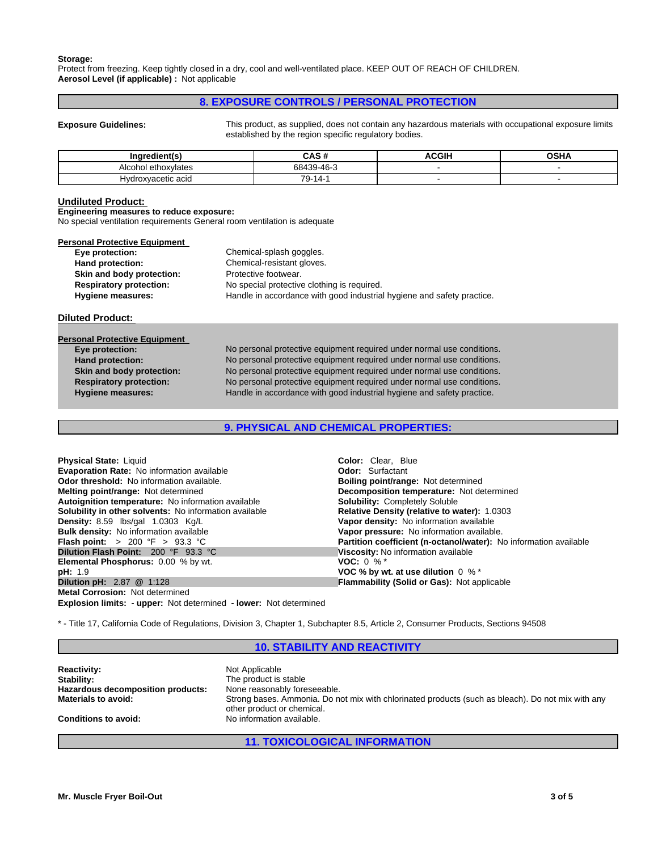### **Storage:**

Protect from freezing. Keep tightly closed in a dry, cool and well-ventilated place. KEEP OUT OF REACH OF CHILDREN. **Aerosol Level (if applicable) :** Not applicable

# **8. EXPOSURE CONTROLS / PERSONAL PROTECTION**

**Exposure Guidelines:** This product, as supplied, does not contain any hazardous materials with occupational exposure limits established by the region specific regulatory bodies.

| Ingredient(s                   | $\mathbf{A} \mathbf{A} \mathbf{A} \mathbf{B}$<br>was a | ncu | OCHA |
|--------------------------------|--------------------------------------------------------|-----|------|
| athovulatas<br>AIC<br>naw<br>. | $.49-16$<br>684                                        |     |      |
| cetic acid<br>HVC              | 70<br>14-1<br>้ ⊶<br>$\cdot$                           |     |      |

### **Undiluted Product:**

**Engineering measures to reduce exposure:**

No special ventilation requirements General room ventilation is adequate

| Chemical-splash goggles.<br>Chemical-resistant gloves.                 |
|------------------------------------------------------------------------|
|                                                                        |
|                                                                        |
| Protective footwear.                                                   |
| No special protective clothing is required.                            |
| Handle in accordance with good industrial hygiene and safety practice. |
|                                                                        |

**Diluted Product:** 

| Eye protection:                | No personal protective equipment required under normal use conditions. |
|--------------------------------|------------------------------------------------------------------------|
| <b>Hand protection:</b>        | No personal protective equipment required under normal use conditions. |
| Skin and body protection:      | No personal protective equipment required under normal use conditions. |
| <b>Respiratory protection:</b> | No personal protective equipment required under normal use conditions. |
| <b>Hygiene measures:</b>       | Handle in accordance with good industrial hygiene and safety practice. |

**9. PHYSICAL AND CHEMICAL PROPERTIES:**

| Physical State: Liquid                                        | <b>Color:</b> Clear. Blue                                                |
|---------------------------------------------------------------|--------------------------------------------------------------------------|
| <b>Evaporation Rate: No information available</b>             | <b>Odor:</b> Surfactant                                                  |
| <b>Odor threshold:</b> No information available.              | <b>Boiling point/range: Not determined</b>                               |
| <b>Melting point/range: Not determined</b>                    | Decomposition temperature: Not determined                                |
| Autoignition temperature: No information available            | <b>Solubility: Completely Soluble</b>                                    |
| <b>Solubility in other solvents:</b> No information available | <b>Relative Density (relative to water): 1.0303</b>                      |
| Density: 8.59 lbs/gal 1.0303 Kg/L                             | Vapor density: No information available                                  |
| <b>Bulk density:</b> No information available                 | Vapor pressure: No information available.                                |
| <b>Flash point:</b> > 200 °F > 93.3 °C                        | <b>Partition coefficient (n-octanol/water):</b> No information available |
| Dilution Flash Point: 200 °F 93.3 °C                          | Viscosity: No information available                                      |
| <b>Elemental Phosphorus: 0.00 % by wt.</b>                    | <b>VOC:</b> 0 % $*$                                                      |
| <b>pH: 1.9</b>                                                | VOC % by wt. at use dilution $0 \%$ *                                    |
| <b>Dilution pH: 2.87 @ 1:128</b>                              | <b>Flammability (Solid or Gas): Not applicable</b>                       |
| Metal Corrosion: Not determined                               |                                                                          |

**Explosion limits: - upper:** Not determined **- lower:** Not determined

\* - Title 17, California Code of Regulations, Division 3, Chapter 1, Subchapter 8.5, Article 2, Consumer Products, Sections 94508

# **10. STABILITY AND REACTIVITY**

| <b>Reactivity:</b><br>Stability:<br>Hazardous decomposition products: | Not Applicable<br>The product is stable<br>None reasonably foreseeable.                           |
|-----------------------------------------------------------------------|---------------------------------------------------------------------------------------------------|
| <b>Materials to avoid:</b>                                            | Strong bases. Ammonia. Do not mix with chlorinated products (such as bleach). Do not mix with any |
|                                                                       | other product or chemical.                                                                        |
| <b>Conditions to avoid:</b>                                           | No information available.                                                                         |
|                                                                       |                                                                                                   |

# **11. TOXICOLOGICAL INFORMATION**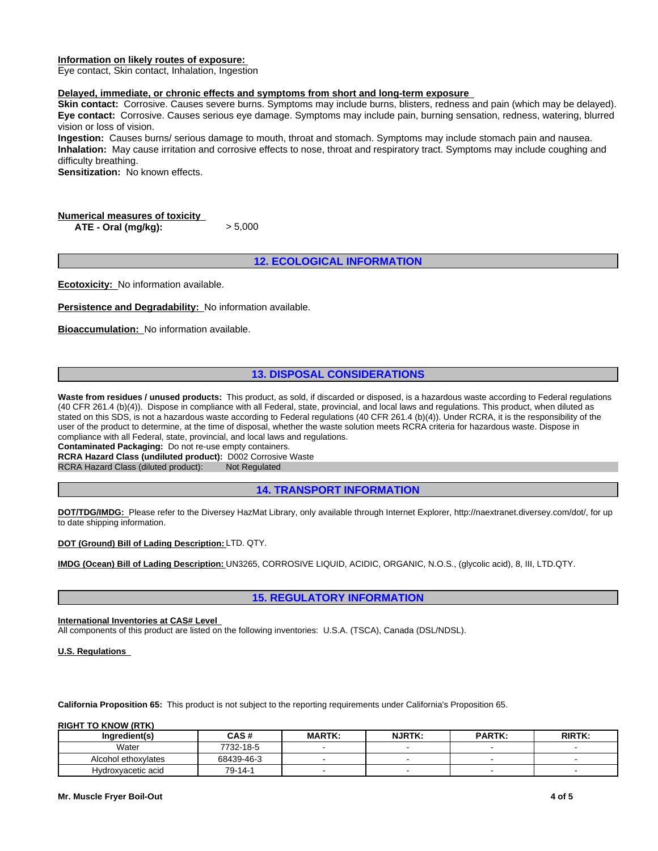### **Information on likely routes of exposure:**

Eye contact, Skin contact, Inhalation, Ingestion

### **Delayed, immediate, or chronic effects and symptoms from short and long-term exposure**

**Skin contact:** Corrosive. Causes severe burns. Symptoms may include burns, blisters, redness and pain (which may be delayed). **Eye contact:** Corrosive. Causes serious eye damage. Symptoms may include pain, burning sensation, redness, watering, blurred vision or loss of vision.

**Ingestion:** Causes burns/ serious damage to mouth, throat and stomach. Symptoms may include stomach pain and nausea. **Inhalation:** May cause irritation and corrosive effects to nose, throat and respiratory tract. Symptoms may include coughing and difficulty breathing.

**Sensitization:** No known effects.

# **Numerical measures of toxicity**

**ATE - Oral (mg/kg):** > 5,000

# **12. ECOLOGICAL INFORMATION**

**Ecotoxicity:** No information available.

**Persistence and Degradability:** No information available.

**Bioaccumulation:** No information available.

# **13. DISPOSAL CONSIDERATIONS**

Waste from residues / unused products: This product, as sold, if discarded or disposed, is a hazardous waste according to Federal regulations (40 CFR 261.4 (b)(4)). Dispose in compliance with all Federal, state, provincial, and local laws and regulations. This product, when diluted as stated on this SDS, is not a hazardous waste according to Federal regulations (40 CFR 261.4 (b)(4)). Under RCRA, it is the responsibility of the user of the product to determine, at the time of disposal, whether the waste solution meets RCRA criteria for hazardous waste. Dispose in compliance with all Federal, state, provincial, and local laws and regulations.

**Contaminated Packaging:** Do not re-use empty containers.

**RCRA Hazard Class (undiluted product):** D002 Corrosive Waste

RCRA Hazard Class (diluted product): Not Regulated

**14. TRANSPORT INFORMATION**

**DOT/TDG/IMDG:** Please refer to the Diversey HazMat Library, only available through Internet Explorer, http://naextranet.diversey.com/dot/, for up to date shipping information.

### **DOT (Ground) Bill of Lading Description:** LTD. QTY.

**IMDG (Ocean) Bill of Lading Description:** UN3265, CORROSIVE LIQUID, ACIDIC, ORGANIC, N.O.S., (glycolic acid), 8, III, LTD.QTY.

### **15. REGULATORY INFORMATION**

### **International Inventories at CAS# Level**

All components of this product are listed on the following inventories: U.S.A. (TSCA), Canada (DSL/NDSL).

**U.S. Regulations** 

**California Proposition 65:** This product is not subject to the reporting requirements under California's Proposition 65.

### **RIGHT TO KNOW (RTK)**

| Inaredient(s)       | <b>CAS#</b> | <b>MARTK:</b> | <b>NJRTK:</b> | <b>PARTK:</b> | <b>RIRTK:</b> |
|---------------------|-------------|---------------|---------------|---------------|---------------|
| Water               | 7732-18-5   |               |               |               |               |
| Alcohol ethoxylates | 68439-46-3  |               |               |               |               |
| Hydroxyacetic acid  | 79-14-1     |               |               |               |               |